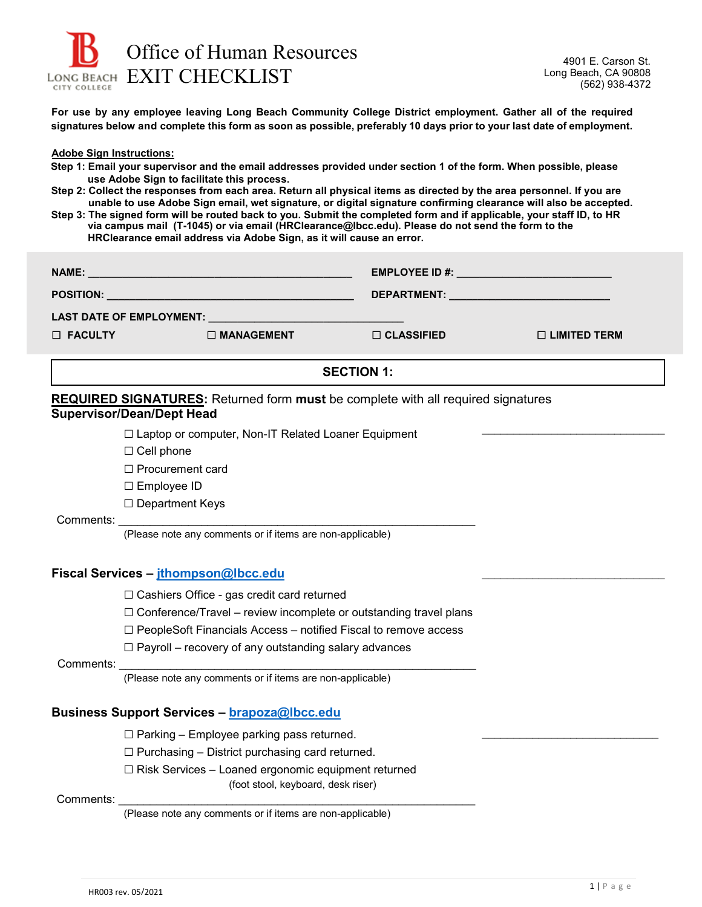

**For use by any employee leaving Long Beach Community College District employment. Gather all of the required signatures below and complete this form as soon as possible, preferably 10 days prior to your last date of employment.**

**Adobe Sign Instructions:**

- **Step 1: Email your supervisor and the email addresses provided under section 1 of the form. When possible, please use Adobe Sign to facilitate this process.**
- **Step 2: Collect the responses from each area. Return all physical items as directed by the area personnel. If you are unable to use Adobe Sign email, wet signature, or digital signature confirming clearance will also be accepted.**

**Step 3: The signed form will be routed back to you. Submit the completed form and if applicable, your staff ID, to HR via campus mail (T-1045) or via email (HRClearance@lbcc.edu). Please do not send the form to the HRClearance email address via Adobe Sign, as it will cause an error.**

|                                                                                         |                                                                                             |                   | <b>EMPLOYEE ID #:</b> The state of the state of the state of the state of the state of the state of the state of the state of the state of the state of the state of the state of the state of the state of the state of the state |
|-----------------------------------------------------------------------------------------|---------------------------------------------------------------------------------------------|-------------------|------------------------------------------------------------------------------------------------------------------------------------------------------------------------------------------------------------------------------------|
|                                                                                         |                                                                                             |                   |                                                                                                                                                                                                                                    |
| LAST DATE OF EMPLOYMENT: ____________                                                   |                                                                                             |                   |                                                                                                                                                                                                                                    |
| $\Box$ FACULTY                                                                          | $\Box$ MANAGEMENT                                                                           | $\Box$ CLASSIFIED | $\Box$ LIMITED TERM                                                                                                                                                                                                                |
| <b>SECTION 1:</b>                                                                       |                                                                                             |                   |                                                                                                                                                                                                                                    |
| <b>REQUIRED SIGNATURES:</b> Returned form must be complete with all required signatures |                                                                                             |                   |                                                                                                                                                                                                                                    |
|                                                                                         | <b>Supervisor/Dean/Dept Head</b>                                                            |                   |                                                                                                                                                                                                                                    |
|                                                                                         | □ Laptop or computer, Non-IT Related Loaner Equipment                                       |                   |                                                                                                                                                                                                                                    |
|                                                                                         | $\Box$ Cell phone                                                                           |                   |                                                                                                                                                                                                                                    |
|                                                                                         | □ Procurement card                                                                          |                   |                                                                                                                                                                                                                                    |
|                                                                                         | □ Employee ID                                                                               |                   |                                                                                                                                                                                                                                    |
|                                                                                         | □ Department Keys                                                                           |                   |                                                                                                                                                                                                                                    |
|                                                                                         |                                                                                             |                   |                                                                                                                                                                                                                                    |
|                                                                                         | (Please note any comments or if items are non-applicable)                                   |                   |                                                                                                                                                                                                                                    |
| Fiscal Services - jthompson@lbcc.edu                                                    |                                                                                             |                   |                                                                                                                                                                                                                                    |
|                                                                                         | □ Cashiers Office - gas credit card returned                                                |                   |                                                                                                                                                                                                                                    |
|                                                                                         | $\Box$ Conference/Travel – review incomplete or outstanding travel plans                    |                   |                                                                                                                                                                                                                                    |
|                                                                                         | □ PeopleSoft Financials Access - notified Fiscal to remove access                           |                   |                                                                                                                                                                                                                                    |
|                                                                                         | $\Box$ Payroll – recovery of any outstanding salary advances                                |                   |                                                                                                                                                                                                                                    |
| Comments:                                                                               |                                                                                             |                   |                                                                                                                                                                                                                                    |
|                                                                                         | (Please note any comments or if items are non-applicable)                                   |                   |                                                                                                                                                                                                                                    |
| <b>Business Support Services - brapoza@lbcc.edu</b>                                     |                                                                                             |                   |                                                                                                                                                                                                                                    |
|                                                                                         | $\Box$ Parking – Employee parking pass returned.                                            |                   |                                                                                                                                                                                                                                    |
|                                                                                         | $\Box$ Purchasing – District purchasing card returned.                                      |                   |                                                                                                                                                                                                                                    |
|                                                                                         | □ Risk Services - Loaned ergonomic equipment returned<br>(foot stool, keyboard, desk riser) |                   |                                                                                                                                                                                                                                    |
| Comments:                                                                               | (Please note any comments or if items are non-applicable)                                   |                   |                                                                                                                                                                                                                                    |
|                                                                                         |                                                                                             |                   |                                                                                                                                                                                                                                    |